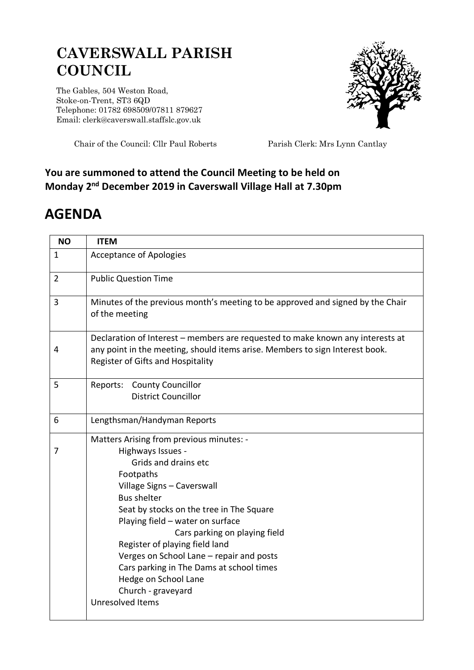## **CAVERSWALL PARISH COUNCIL**

The Gables, 504 Weston Road, Stoke-on-Trent, ST3 6QD Telephone: 01782 698509/07811 879627 Email: clerk@caverswall.staffslc.gov.uk



Chair of the Council: Cllr Paul Roberts Parish Clerk: Mrs Lynn Cantlay

## **You are summoned to attend the Council Meeting to be held on Monday 2 nd December 2019 in Caverswall Village Hall at 7.30pm**

## **AGENDA**

| <b>NO</b>      | <b>ITEM</b>                                                                                                                                                                                         |
|----------------|-----------------------------------------------------------------------------------------------------------------------------------------------------------------------------------------------------|
| $\mathbf{1}$   | <b>Acceptance of Apologies</b>                                                                                                                                                                      |
| $\overline{2}$ | <b>Public Question Time</b>                                                                                                                                                                         |
| 3              | Minutes of the previous month's meeting to be approved and signed by the Chair<br>of the meeting                                                                                                    |
| 4              | Declaration of Interest - members are requested to make known any interests at<br>any point in the meeting, should items arise. Members to sign Interest book.<br>Register of Gifts and Hospitality |
| 5              | Reports: County Councillor<br><b>District Councillor</b>                                                                                                                                            |
| 6              | Lengthsman/Handyman Reports                                                                                                                                                                         |
|                | Matters Arising from previous minutes: -                                                                                                                                                            |
| 7              | Highways Issues -                                                                                                                                                                                   |
|                | Grids and drains etc                                                                                                                                                                                |
|                | Footpaths                                                                                                                                                                                           |
|                | Village Signs - Caverswall                                                                                                                                                                          |
|                | <b>Bus shelter</b><br>Seat by stocks on the tree in The Square                                                                                                                                      |
|                | Playing field - water on surface                                                                                                                                                                    |
|                | Cars parking on playing field                                                                                                                                                                       |
|                | Register of playing field land                                                                                                                                                                      |
|                | Verges on School Lane - repair and posts                                                                                                                                                            |
|                | Cars parking in The Dams at school times                                                                                                                                                            |
|                | Hedge on School Lane                                                                                                                                                                                |
|                | Church - graveyard                                                                                                                                                                                  |
|                | <b>Unresolved Items</b>                                                                                                                                                                             |